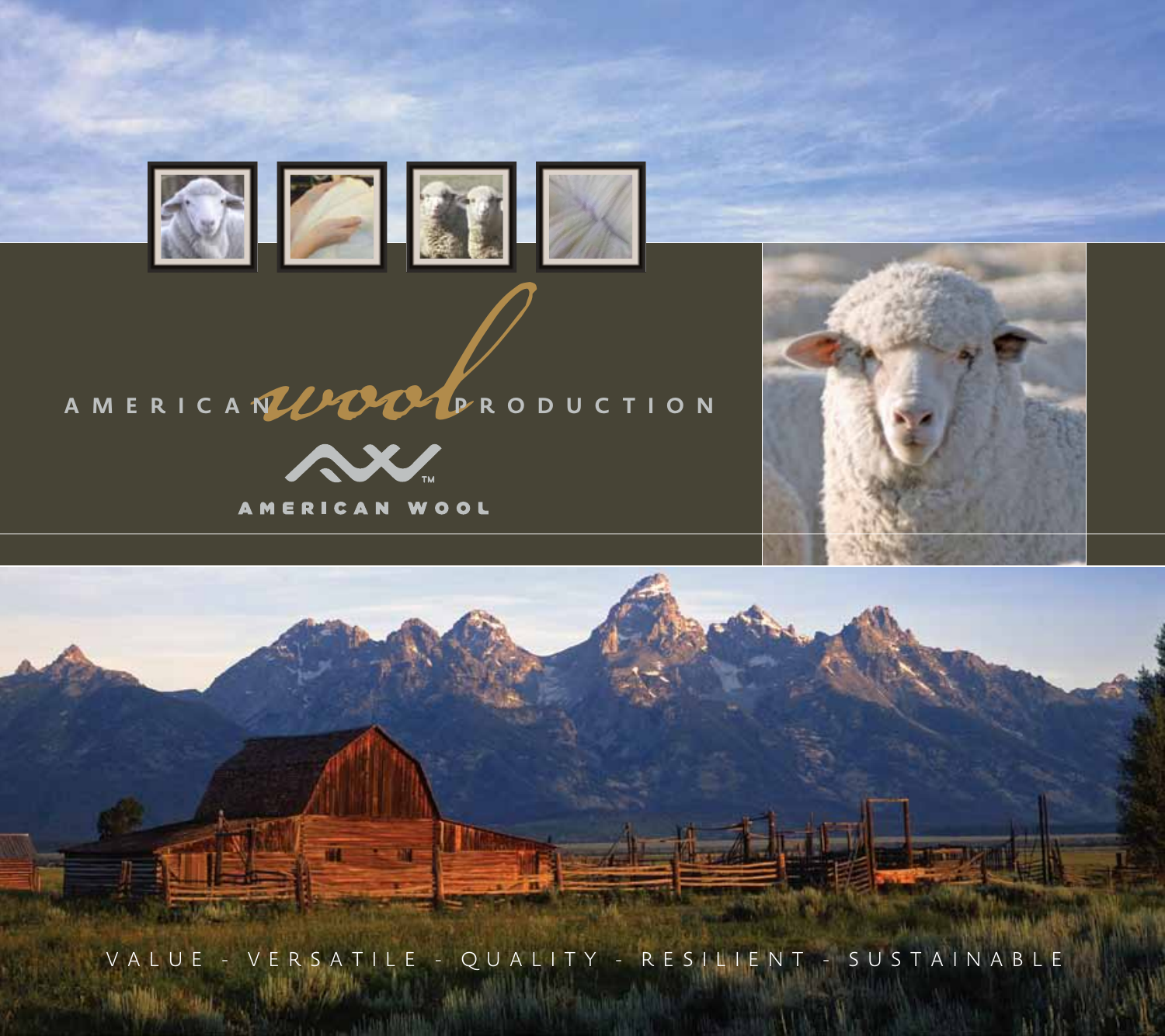





VALUE - VERSATILE - QUALITY - RESILIENT - SUSTAINABLE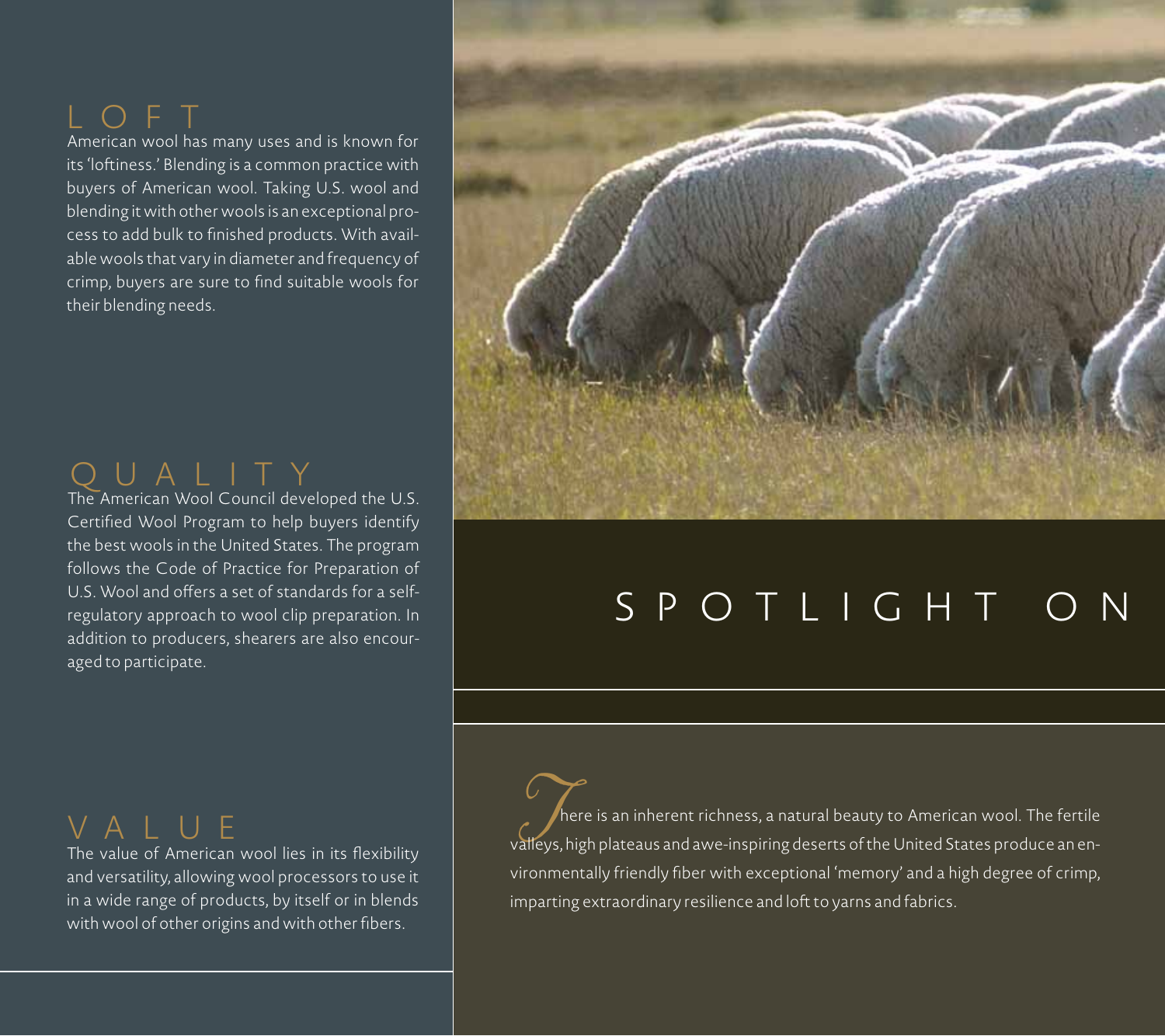O F T

American wool has many uses and is known for its 'loftiness.' Blending is a common practice with buyers of American wool. Taking U.S. wool and blending it with other wools is an exceptional process to add bulk to finished products. With available wools that vary in diameter and frequency of crimp, buyers are sure to find suitable wools for their blending needs.



The American Wool Council developed the U.S. Certified Wool Program to help buyers identify the best wools in the United States. The program follows the Code of Practice for Preparation of U.S. Wool and offers a set of standards for a selfregulatory approach to wool clip preparation. In addition to producers, shearers are also encouraged to participate.

## VALUE

The value of American wool lies in its flexibility and versatility, allowing wool processors to use it in a wide range of products, by itself or in blends with wool of other origins and with other fibers.



## SPOTLIGHT ON

**There is an inherent richness, a natural beauty to American wool. The fertile**<br>valleys, high plateaus and awe-inspiring deserts of the United States produce an environmentally friendly fiber with exceptional 'memory' and a high degree of crimp, imparting extraordinary resilience and loft to yarns and fabrics.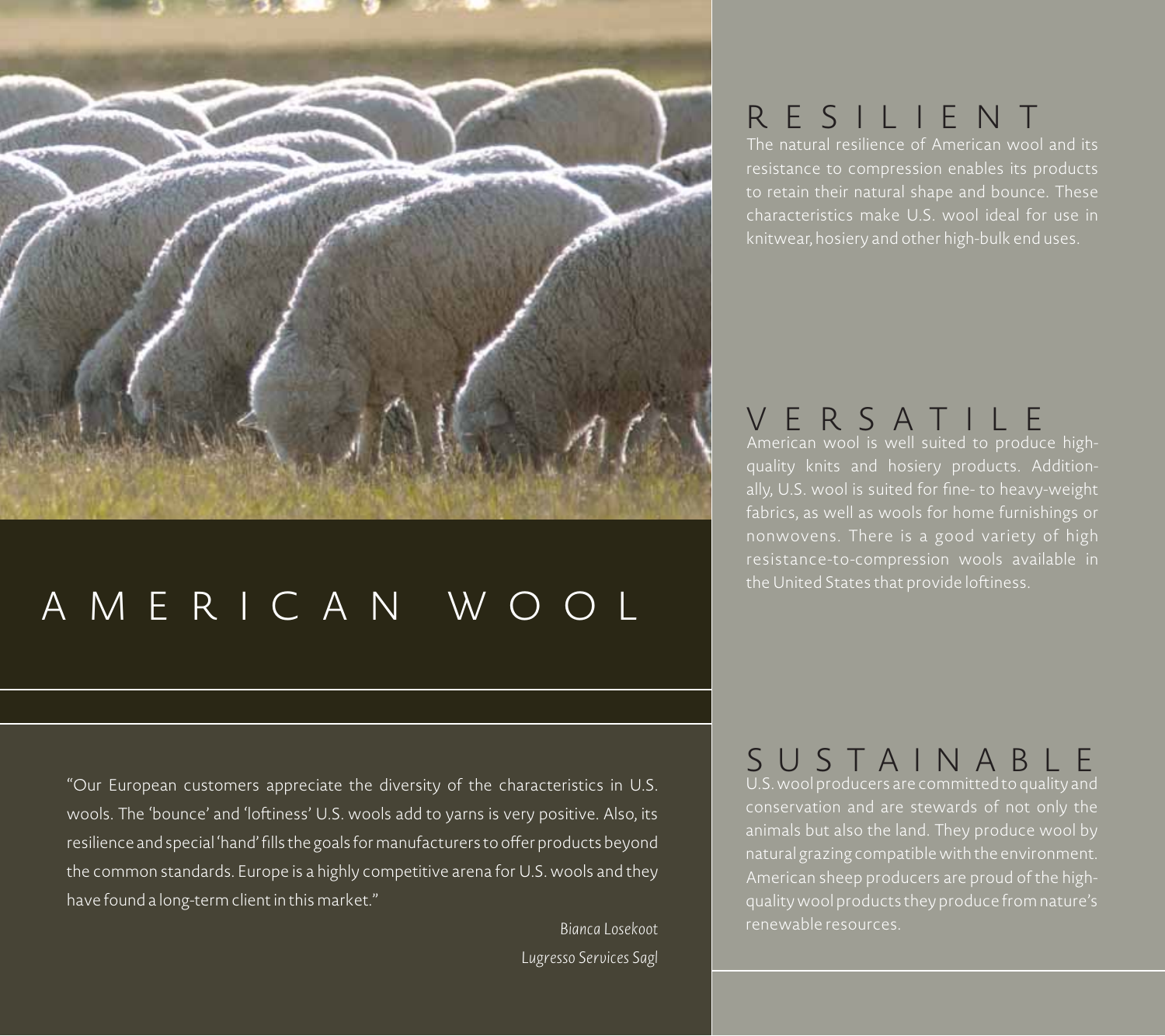

## AMERICAN WOOL

"Our European customers appreciate the diversity of the characteristics in U.S. wools. The 'bounce' and 'loftiness' U.S. wools add to yarns is very positive. Also, its resilience and special 'hand' fills the goals for manufacturers to offer products beyond the common standards. Europe is a highly competitive arena for U.S. wools and they have found a long-term client in this market."

> *Bianca Losekoot Lugresso Services Sagl*

## RESILIENT

The natural resilience of American wool and its resistance to compression enables its products to retain their natural shape and bounce. These characteristics make U.S. wool ideal for use in

## VERSATILE

ally, U.S. wool is suited for fine- to heavy-weight fabrics, as well as wools for home furnishings or nonwovens. There is a good variety of high

#### U.S. wool producers are committed to quality and SUSTAINABLE

conservation and are stewards of not only the natural grazing compatible with the environment. American sheep producers are proud of the highquality wool products they produce from nature's renewable resources.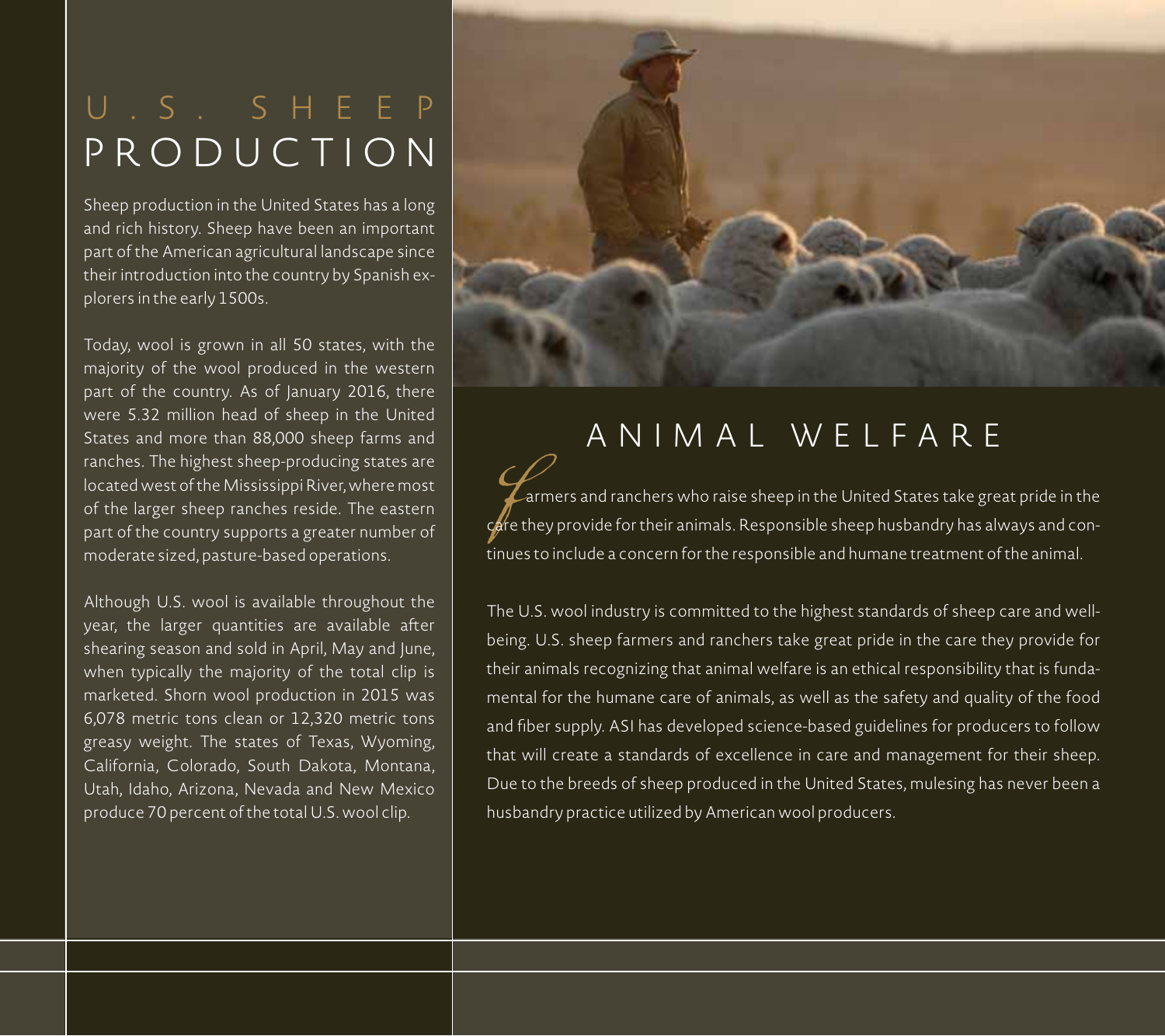## U.S. SHEEP PRODUCTION

Sheep production in the United States has a long and rich history. Sheep have been an important part of the American agricultural landscape since their introduction into the country by Spanish explorers in the early 1500s.

Today, wool is grown in all 50 states, with the majority of the wool produced in the western part of the country. As of January 2016, there were 5.32 million head of sheep in the United States and more than 88,000 sheep farms and ranches. The highest sheep-producing states are located west of the Mississippi River, where most of the larger sheep ranches reside. The eastern part of the country supports a greater number of moderate sized, pasture-based operations.

Although U.S. wool is available throughout the year, the larger quantities are available after shearing season and sold in April, May and June, when typically the majority of the total clip is marketed. Shorn wool production in 2015 was 6,078 metric tons clean or 12,320 metric tons greasy weight. The states of Texas, Wyoming, California, Colorado, South Dakota, Montana, Utah, Idaho, Arizona, Nevada and New Mexico produce 70 percent of the total U.S. wool clip.



## ANIMAL WELFARE

**Farmers and ranchers who raise sheep in the United States take great pride in the<br>care they provide for their animals. Responsible sheep husbandry has always and con**tinues to include a concern for the responsible and humane treatment of the animal.

The U.S. wool industry is committed to the highest standards of sheep care and wellbeing. U.S. sheep farmers and ranchers take great pride in the care they provide for their animals recognizing that animal welfare is an ethical responsibility that is fundamental for the humane care of animals, as well as the safety and quality of the food and fiber supply. ASI has developed science-based guidelines for producers to follow that will create a standards of excellence in care and management for their sheep. Due to the breeds of sheep produced in the United States, mulesing has never been a husbandry practice utilized by American wool producers.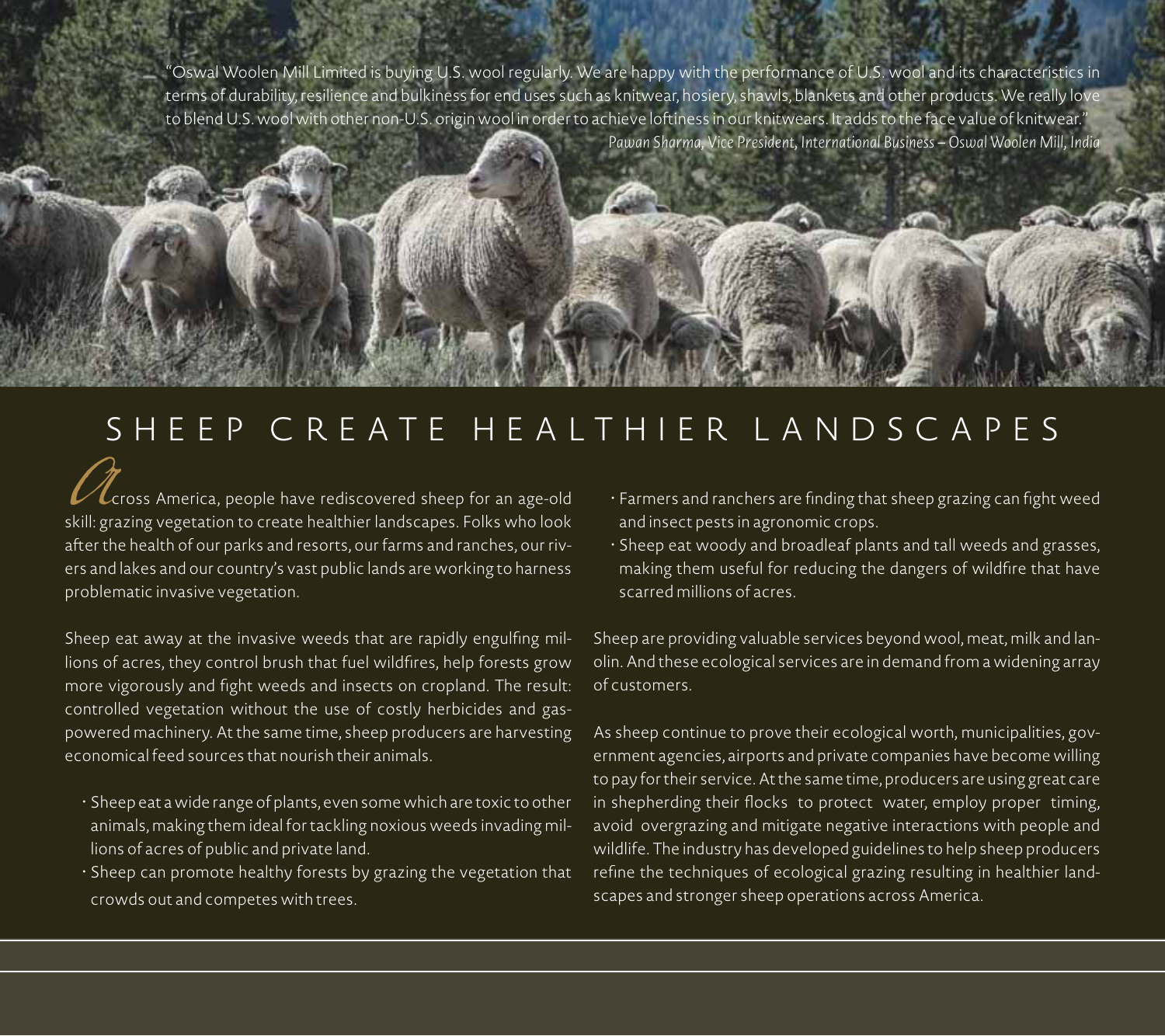"Oswal Woolen Mill Limited is buying U.S. wool regularly. We are happy with the performance of U.S. wool and its characteristics in terms of durability, resilience and bulkiness for end uses such as knitwear, hosiery, shawls, blankets and other products. We really love to blend U.S. wool with other non-U.S. origin wool in order to achieve loftiness in our knitwears. It adds to the face value of knitwear." *Pawan Sharma, Vice President, International Business – Oswal Woolen Mill, India*

## SHEEP CREATE HEALTHIER LANDSCAPES

**Across America, people have rediscovered sheep for an age-old**<br>skill: grazing vegetation to create healthier landscapes. Folks who look after the health of our parks and resorts, our farms and ranches, our rivers and lakes and our country's vast public lands are working to harness problematic invasive vegetation.

Sheep eat away at the invasive weeds that are rapidly engulfing millions of acres, they control brush that fuel wildfires, help forests grow more vigorously and fight weeds and insects on cropland. The result: controlled vegetation without the use of costly herbicides and gaspowered machinery. At the same time, sheep producers are harvesting economical feed sources that nourish their animals.

- • Sheep eat a wide range of plants, even some which are toxic to other animals, making them ideal for tackling noxious weeds invading millions of acres of public and private land.
- • Sheep can promote healthy forests by grazing the vegetation that crowds out and competes with trees.
- Farmers and ranchers are finding that sheep grazing can fight weed and insect pests in agronomic crops.
- • Sheep eat woody and broadleaf plants and tall weeds and grasses, making them useful for reducing the dangers of wildfire that have scarred millions of acres.

Sheep are providing valuable services beyond wool, meat, milk and lanolin. And these ecological services are in demand from a widening array of customers.

As sheep continue to prove their ecological worth, municipalities, government agencies, airports and private companies have become willing to pay for their service. At the same time, producers are using great care in shepherding their flocks to protect water, employ proper timing, avoid overgrazing and mitigate negative interactions with people and wildlife. The industry has developed guidelines to help sheep producers refine the techniques of ecological grazing resulting in healthier landscapes and stronger sheep operations across America.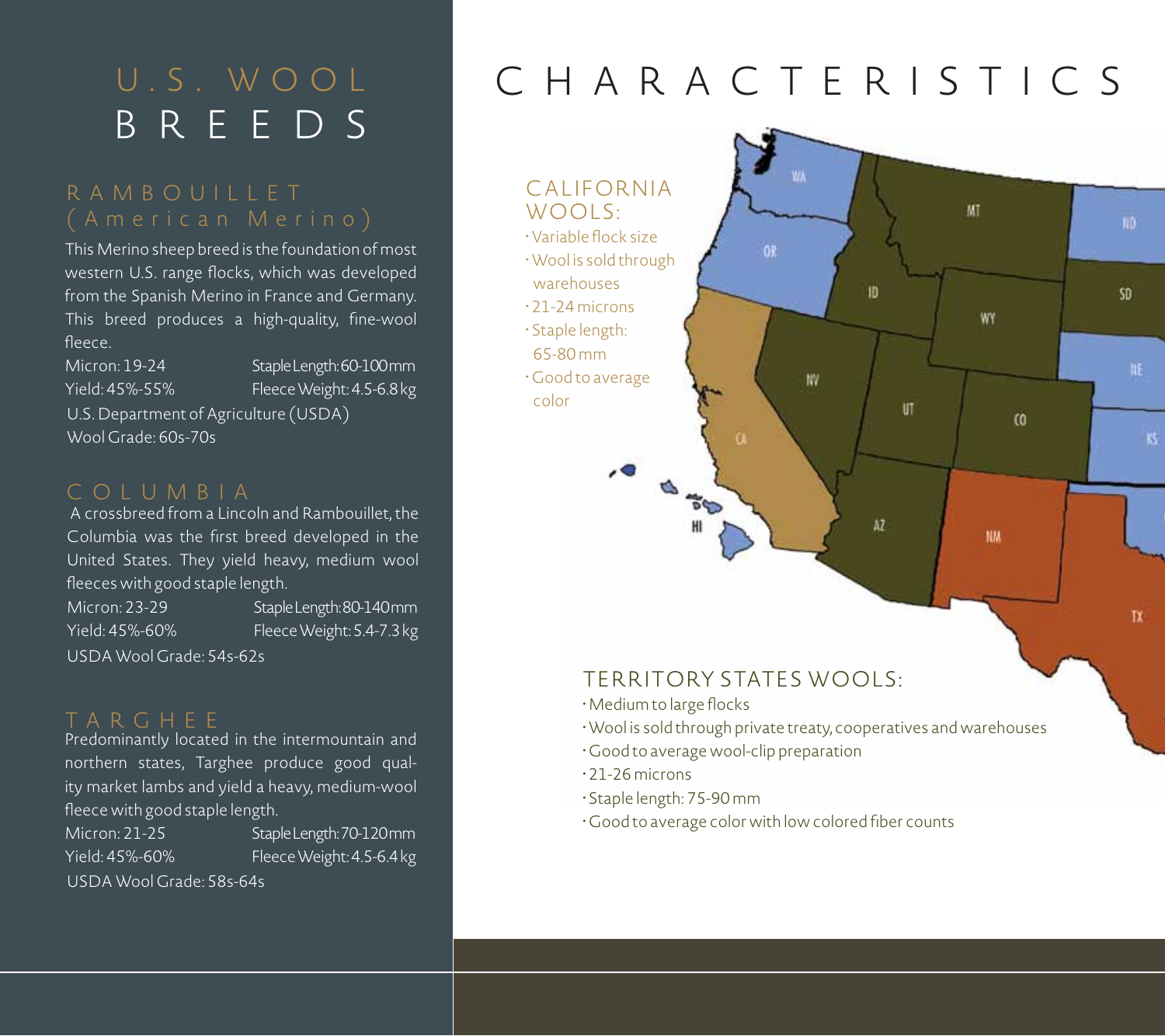## U.S. WOOL BREEDS

# RAMBOUILLET

This Merino sheep breed is the foundation of most western U.S. range flocks, which was developed from the Spanish Merino in France and Germany. This breed produces a high-quality, fine-wool fleece.

Micron: 19-24 Yield: 45%-55%

Staple Length: 60-100 mm Fleece Weight: 4.5-6.8 kg Ticid. 45% 55% Trece Weight. 4.5 0.0 kg<br>U.S. Department of Agriculture (USDA)

Wool Grade: 60s-70s

#### COLUMBIA

 A crossbreed from a Lincoln and Rambouillet, the Columbia was the first breed developed in the United States. They yield heavy, medium wool fleeces with good staple length.

Micron: 23-29 Yield: 45%-60% Staple Length: 80-140 mm Fleece Weight: 5.4-7.3 kg USDA Wool Grade: 54s-62s

Predominantly located in the intermountain and northern states, Targhee produce good quality market lambs and yield a heavy, medium-wool fleece with good staple length.

Micron: 21-25 Yield: 45%-60% Staple Length: 70-120 mm Fleece Weight: 4.5-6.4 kg USDA Wool Grade: 58s-64s

# CHARACTERISTICS



#### Territory States Wools:

- •Medium to large flocks
- •Wool is sold through private treaty, cooperatives and warehouses
- Good to average wool-clip preparation
- 21-26 microns
- Staple length: 75-90 mm
- Good to average color with low colored fiber counts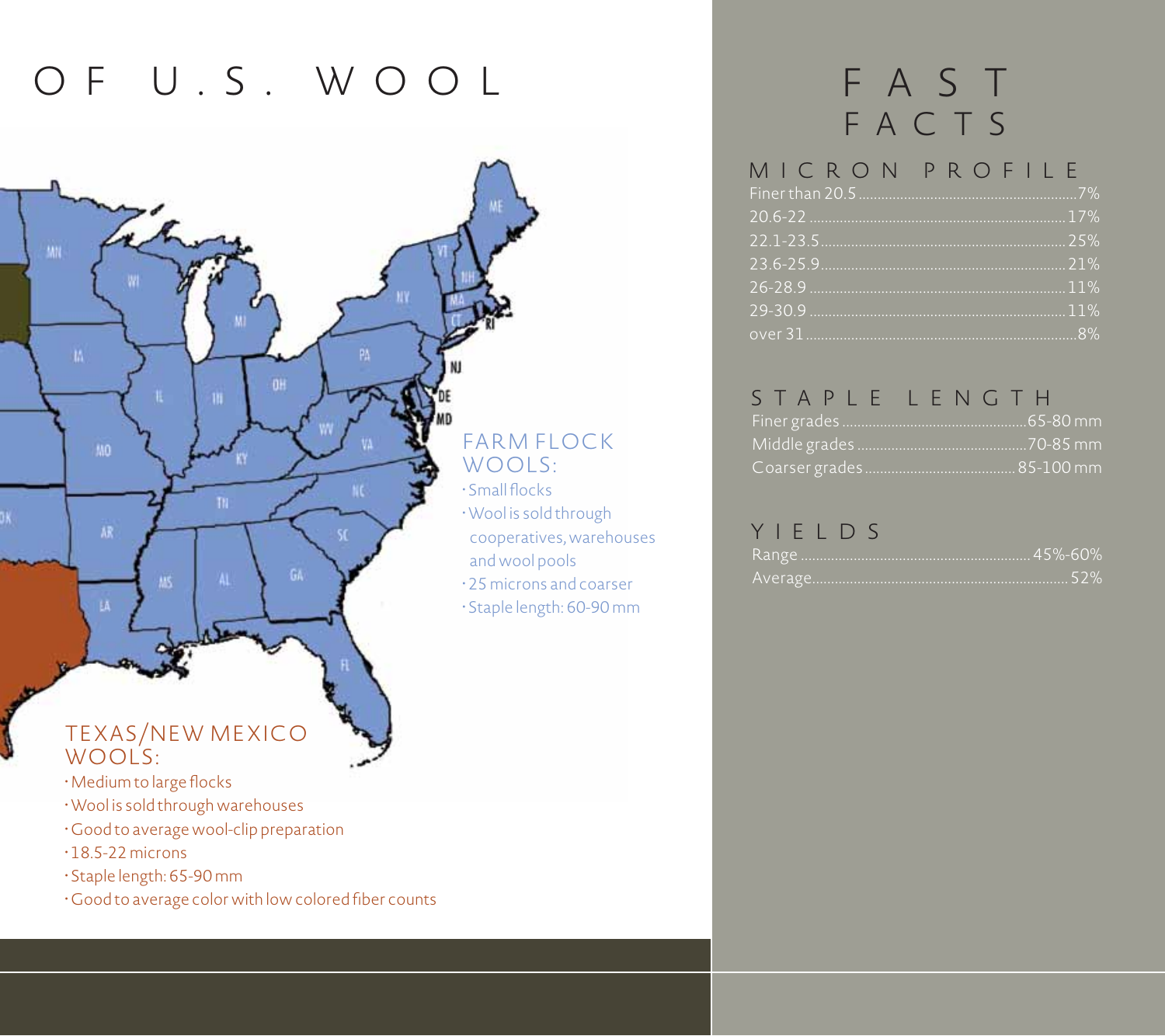## OF U.S. WOOL FAST



## Wools:

- •Medium to large flocks
- •Wool is sold through warehouses
- Good to average wool-clip preparation
- $\cdot$  18.5-22 microns
- Staple length: 65-90 mm
- Good to average color with low colored fiber counts

# FACTS

#### $Einer than 20.5$ MICRON PROFILE

#### STAPLE LENGTH

#### YIELDS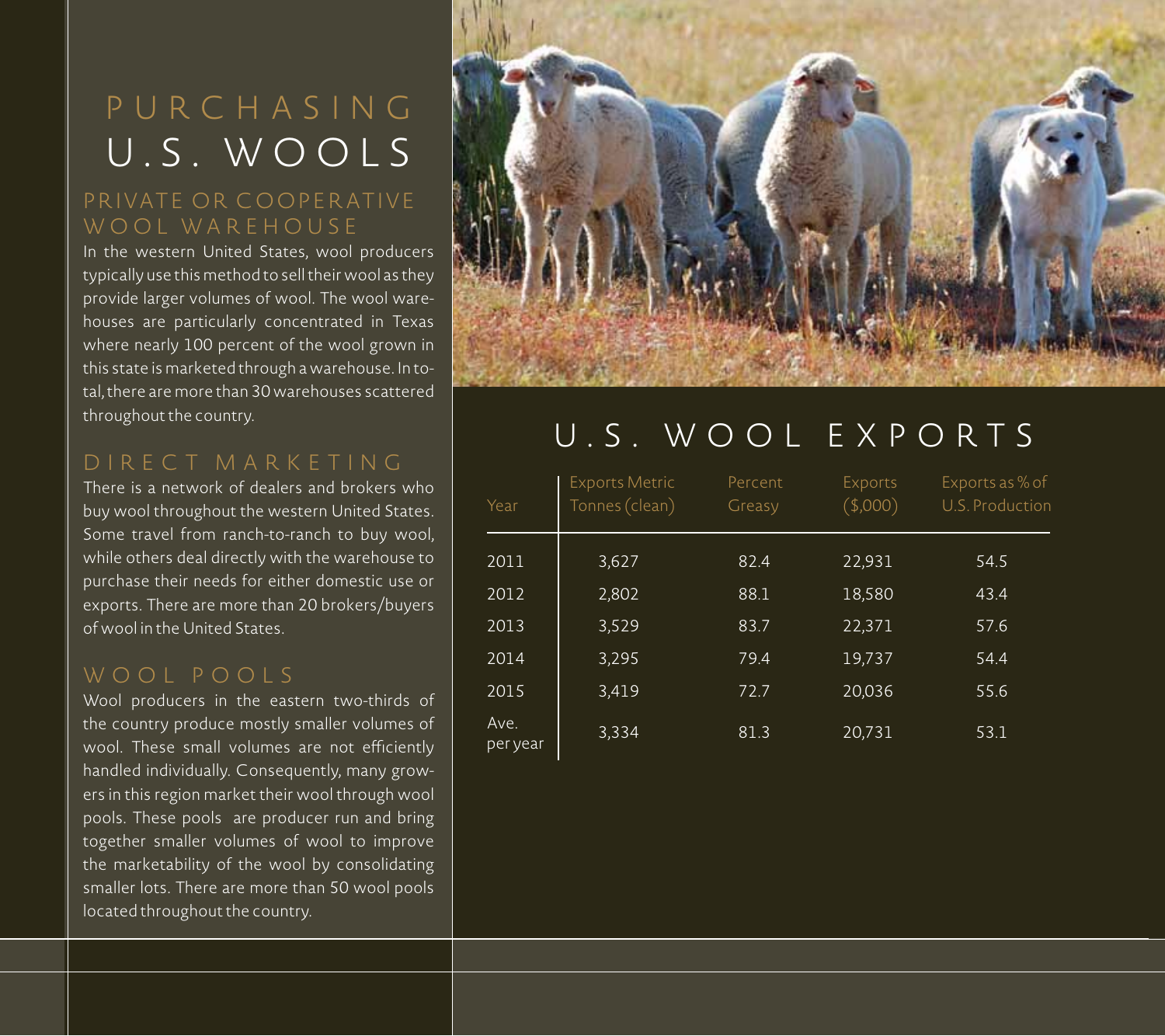## P U R C H A S I N G U.S. WOOLS

### PRIVATE OR COOPERATIVE WOOL WAREHOUSE

In the western United States, wool producers typically use this method to sell their wool as they provide larger volumes of wool. The wool warehouses are particularly concentrated in Texas where nearly 100 percent of the wool grown in this state is marketed through a warehouse. In total, there are more than 30 warehouses scattered throughout the country.

## DIRECT MAR K ETING

There is a network of dealers and brokers who buy wool throughout the western United States. Some travel from ranch-to-ranch to buy wool, while others deal directly with the warehouse to purchase their needs for either domestic use or exports. There are more than 20 brokers/buyers of wool in the United States.

#### WOOL POOLS

Wool producers in the eastern two-thirds of the country produce mostly smaller volumes of wool. These small volumes are not efficiently handled individually. Consequently, many growers in this region market their wool through wool pools. These pools are producer run and bring together smaller volumes of wool to improve the marketability of the wool by consolidating smaller lots. There are more than 50 wool pools located throughout the country.



## U.S. WOOL E X P O RTS

| Year             | <b>Exports Metric</b><br>Tonnes (clean) | Percent<br>Greasy | Exports<br>(\$,000) | Exports as % of<br>U.S. Production |
|------------------|-----------------------------------------|-------------------|---------------------|------------------------------------|
| 2011             | 3,627                                   | 82.4              | 22,931              | 54.5                               |
| 2012             | 2,802                                   | 88.1              | 18,580              | 43.4                               |
| 2013             | 3,529                                   | 83.7              | 22,371              | 57.6                               |
| 2014             | 3,295                                   | 79.4              | 19,737              | 54.4                               |
| 2015             | 3,419                                   | 72.7              | 20,036              | 55.6                               |
| Ave.<br>per year | 3,334                                   | 81.3              | 20,731              | 53.1                               |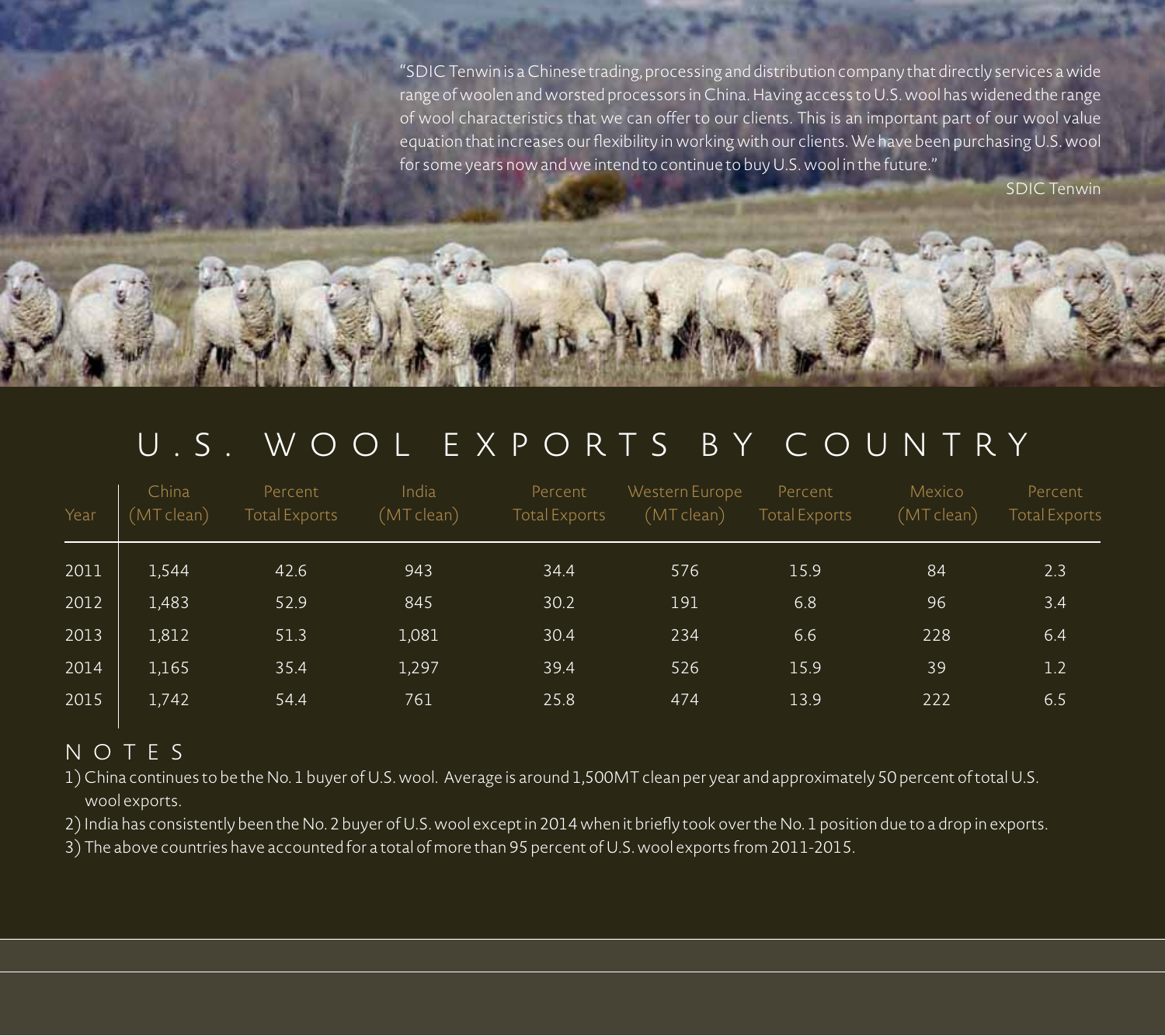"SDIC Tenwin is a Chinese trading, processing and distribution company that directly services a wide range of woolen and worsted processors in China. Having access to U.S. wool has widened the range of wool characteristics that we can offer to our clients. This is an important part of our wool value equation that increases our flexibility in working with our clients. We have been purchasing U.S. wool for some years now and we intend to continue to buy U.S. wool in the future."

SDIC Tenwin

## U.S. WOOL E X P O RTS BY C O U N T RY

| Year | China<br>(MT clean) | Percent<br><b>Total Exports</b> | India<br>(MT clean) | Percent<br>Total Exports | Western Europe<br>(MT clean) | Percent<br>Total Exports | Mexico<br>(MT clean) | Percent<br><b>Total Exports</b> |
|------|---------------------|---------------------------------|---------------------|--------------------------|------------------------------|--------------------------|----------------------|---------------------------------|
| 2011 | 1,544               | 42.6                            | 943                 | 34.4                     | 576                          | 15.9                     | 84                   | 2.3                             |
| 2012 | 1,483               | 52.9                            | 845                 | 30.2                     | 191                          | 6.8                      | 96                   | 3.4                             |
| 2013 | 1,812               | 51.3                            | 1,081               | 30.4                     | 234                          | 6.6                      | 228                  | 6.4                             |
| 2014 | 1,165               | 35.4                            | 1,297               | 39.4                     | 526                          | 15.9                     | 39                   | 1.2                             |
| 2015 | 1,742               | 54.4                            | 761                 | 25.8                     | 474                          | 13.9                     | 222                  | 6.5                             |

#### NOTES

1) China continues to be the No. 1 buyer of U.S. wool. Average is around 1,500MT clean per year and approximately 50 percent of total U.S. wool exports.

2) India has consistently been the No. 2 buyer of U.S. wool except in 2014 when it briefly took over the No. 1 position due to a drop in exports.

3) The above countries have accounted for a total of more than 95 percent of U.S. wool exports from 2011-2015.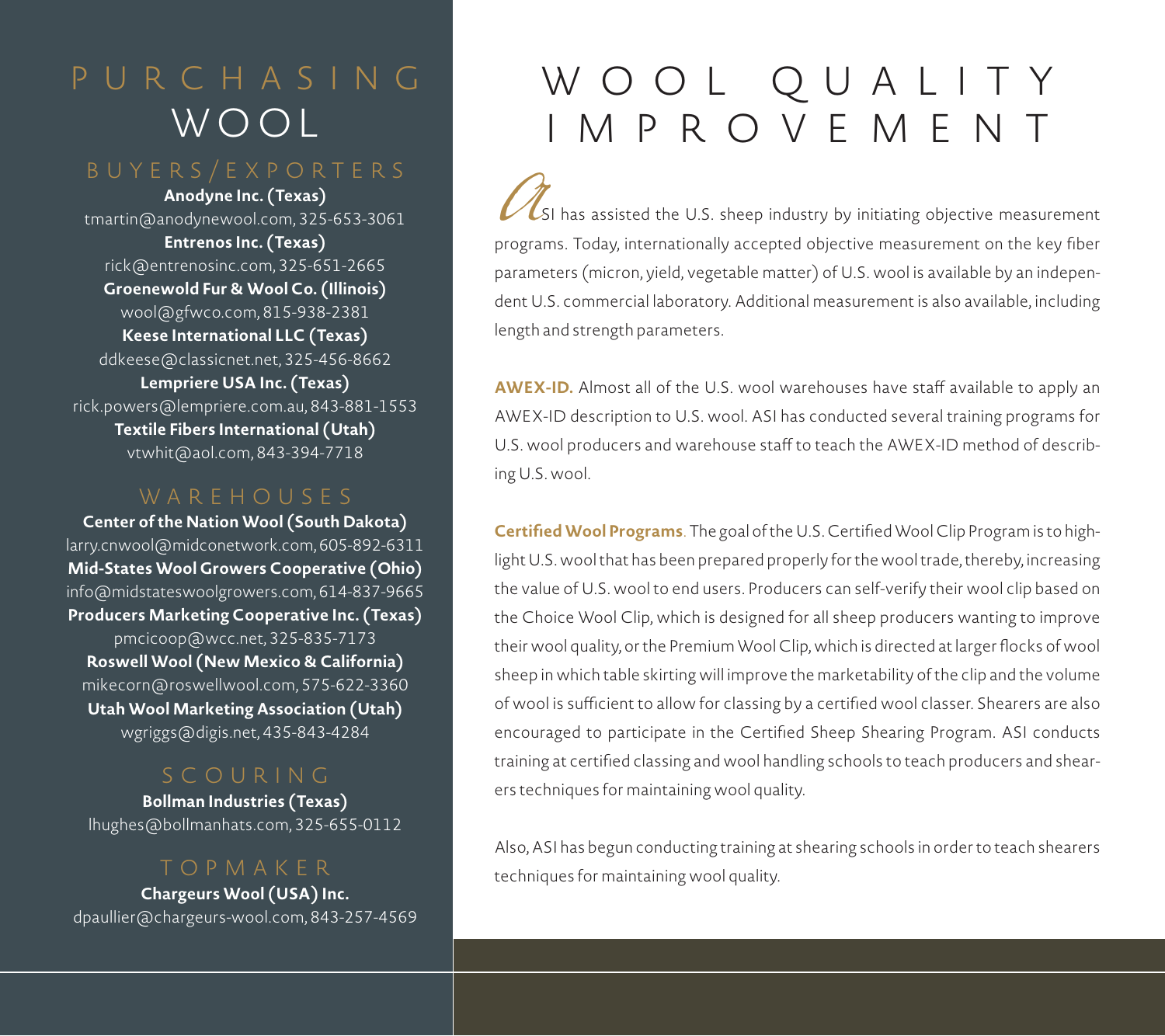## P U R C H A S I N G WOOL

**Anodyne Inc. (Texas)** tmartin@anodynewool.com, 325-653-3061 **Entrenos Inc. (Texas)** rick@entrenosinc.com, 325-651-2665 **Groenewold Fur & Wool Co. (Illinois)** wool@gfwco.com, 815-938-2381 **Keese International LLC (Texas)** ddkeese@classicnet.net, 325-456-8662 **Lempriere USA Inc. (Texas)** rick.powers@lempriere.com.au, 843-881-1553 **Textile Fibers International (Utah)** vtwhit@aol.com, 843-394-7718

#### WAREHOUSES

**Center of the Nation Wool (South Dakota)** larry.cnwool@midconetwork.com, 605-892-6311 **Mid-States Wool Growers Cooperative (Ohio)** info@midstateswoolgrowers.com, 614-837-9665 **Producers Marketing Cooperative Inc. (Texas)** pmcicoop@wcc.net, 325-835-7173 **Roswell Wool (New Mexico & California)** mikecorn@roswellwool.com, 575-622-3360 **Utah Wool Marketing Association (Utah)** wgriggs@digis.net, 435-843-4284

**Bollman Industries (Texas)** lhughes@bollmanhats.com, 325-655-0112

### TOPMA K E R

**Chargeurs Wool (USA) Inc.** dpaullier@chargeurs-wool.com, 843-257-4569

# WOOL QUALITY IMPROVEMENT

*A*SI has assisted the U.S. sheep industry by initiating objective measurement programs. Today, internationally accepted objective measurement on the key fiber parameters (micron, yield, vegetable matter) of U.S. wool is available by an independent U.S. commercial laboratory. Additional measurement is also available, including length and strength parameters.

**AWEX-ID.** Almost all of the U.S. wool warehouses have staff available to apply an AWEX-ID description to U.S. wool. ASI has conducted several training programs for U.S. wool producers and warehouse staff to teach the AWEX-ID method of describing U.S. wool.

**Certified Wool Programs**. The goal of the U.S. Certified Wool Clip Program is to highlight U.S. wool that has been prepared properly for the wool trade, thereby, increasing the value of U.S. wool to end users. Producers can self-verify their wool clip based on the Choice Wool Clip, which is designed for all sheep producers wanting to improve their wool quality, or the Premium Wool Clip, which is directed at larger flocks of wool sheep in which table skirting will improve the marketability of the clip and the volume of wool is sufficient to allow for classing by a certified wool classer. Shearers are also encouraged to participate in the Certified Sheep Shearing Program. ASI conducts training at certified classing and wool handling schools to teach producers and shearers techniques for maintaining wool quality.

Also, ASI has begun conducting training at shearing schools in order to teach shearers techniques for maintaining wool quality.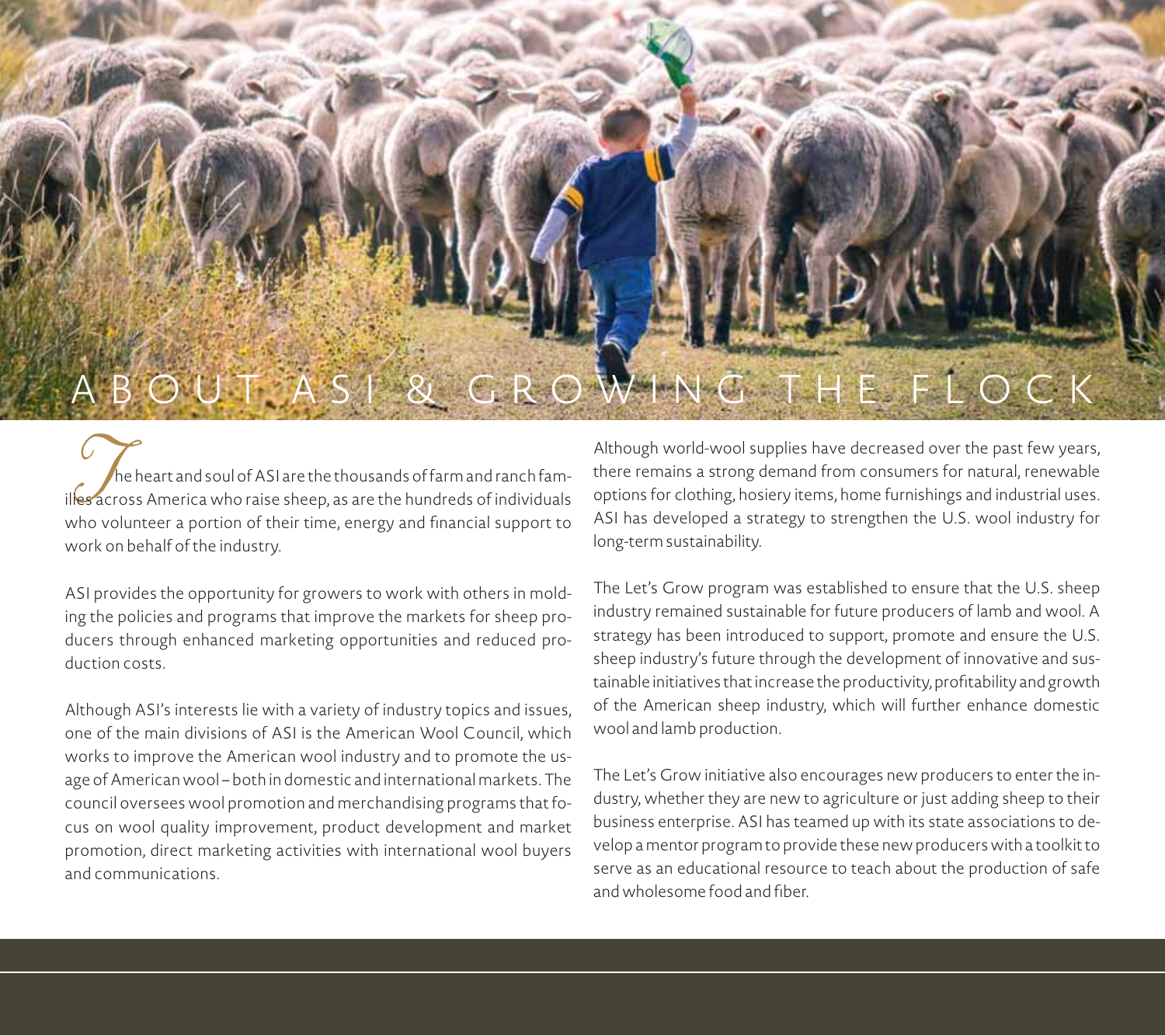

The heart and soul of ASI are the thousands of farm and ranch fam-<br>illes across America who raise sheep, as are the hundreds of individuals<br>who velupteer a pertiep of their time, aperty and freeziel support to who volunteer a portion of their time, energy and financial support to work on behalf of the industry.

ASI provides the opportunity for growers to work with others in molding the policies and programs that improve the markets for sheep producers through enhanced marketing opportunities and reduced production costs.

Although ASI's interests lie with a variety of industry topics and issues, one of the main divisions of ASI is the American Wool Council, which works to improve the American wool industry and to promote the usage of American wool – both in domestic and international markets. The council oversees wool promotion and merchandising programs that focus on wool quality improvement, product development and market promotion, direct marketing activities with international wool buyers and communications.

Although world-wool supplies have decreased over the past few years, there remains a strong demand from consumers for natural, renewable options for clothing, hosiery items, home furnishings and industrial uses. ASI has developed a strategy to strengthen the U.S. wool industry for long-term sustainability.

The Let's Grow program was established to ensure that the U.S. sheep industry remained sustainable for future producers of lamb and wool. A strategy has been introduced to support, promote and ensure the U.S. sheep industry's future through the development of innovative and sustainable initiatives that increase the productivity, profitability and growth of the American sheep industry, which will further enhance domestic wool and lamb production.

The Let's Grow initiative also encourages new producers to enter the industry, whether they are new to agriculture or just adding sheep to their business enterprise. ASI has teamed up with its state associations to develop a mentor program to provide these new producers with a toolkit to serve as an educational resource to teach about the production of safe and wholesome food and fiber.